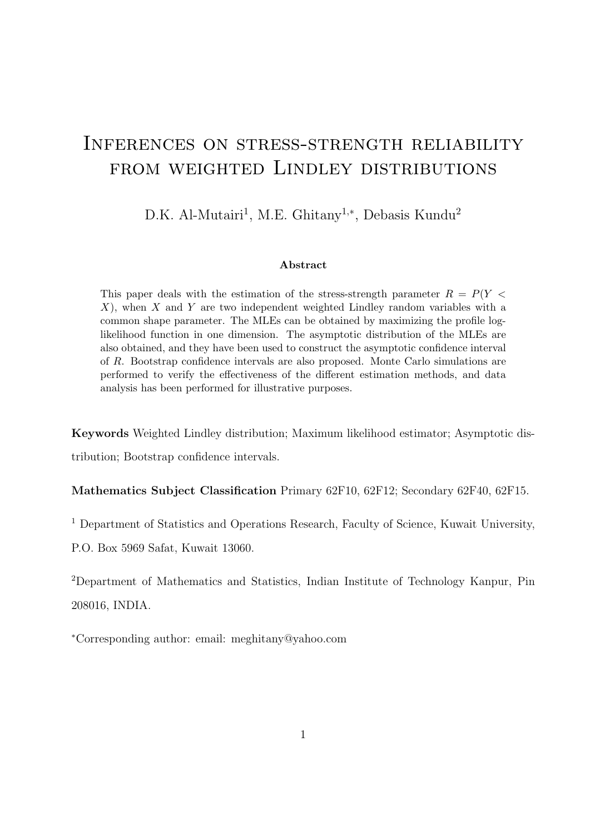# Inferences on stress-strength reliability from weighted Lindley distributions

D.K. Al-Mutairi<sup>1</sup>, M.E. Ghitany<sup>1,\*</sup>, Debasis Kundu<sup>2</sup>

#### **Abstract**

This paper deals with the estimation of the stress-strength parameter *R* = *P*(*Y < X*), when *X* and *Y* are two independent weighted Lindley random variables with a common shape parameter. The MLEs can be obtained by maximizing the profile loglikelihood function in one dimension. The asymptotic distribution of the MLEs are also obtained, and they have been used to construct the asymptotic confidence interval of *R*. Bootstrap confidence intervals are also proposed. Monte Carlo simulations are performed to verify the effectiveness of the different estimation methods, and data analysis has been performed for illustrative purposes.

**Keywords** Weighted Lindley distribution; Maximum likelihood estimator; Asymptotic distribution; Bootstrap confidence intervals.

**Mathematics Subject Classification** Primary 62F10, 62F12; Secondary 62F40, 62F15.

<sup>1</sup> Department of Statistics and Operations Research, Faculty of Science, Kuwait University,

P.O. Box 5969 Safat, Kuwait 13060.

<sup>2</sup>Department of Mathematics and Statistics, Indian Institute of Technology Kanpur, Pin 208016, INDIA.

*<sup>∗</sup>*Corresponding author: email: meghitany@yahoo.com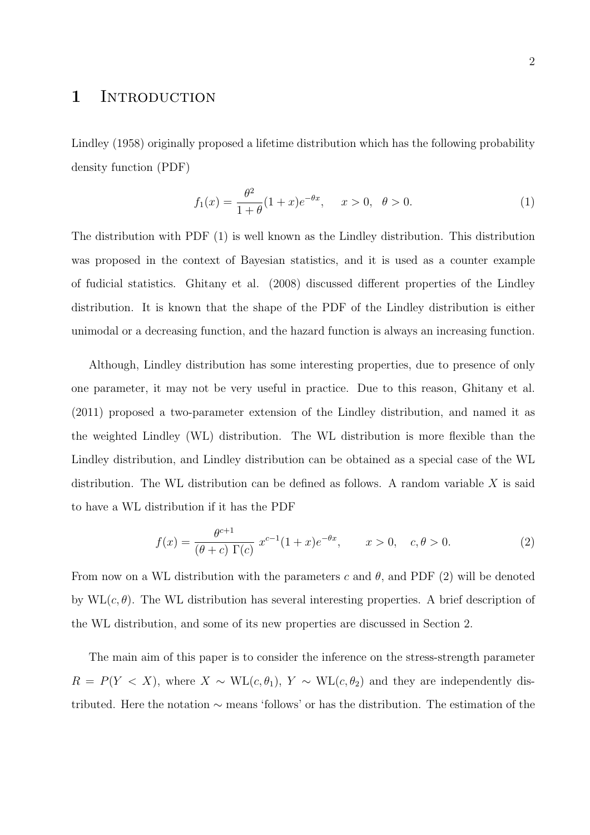### 1 INTRODUCTION

Lindley (1958) originally proposed a lifetime distribution which has the following probability density function (PDF)

$$
f_1(x) = \frac{\theta^2}{1+\theta}(1+x)e^{-\theta x}, \quad x > 0, \ \theta > 0.
$$
 (1)

The distribution with PDF (1) is well known as the Lindley distribution. This distribution was proposed in the context of Bayesian statistics, and it is used as a counter example of fudicial statistics. Ghitany et al. (2008) discussed different properties of the Lindley distribution. It is known that the shape of the PDF of the Lindley distribution is either unimodal or a decreasing function, and the hazard function is always an increasing function.

Although, Lindley distribution has some interesting properties, due to presence of only one parameter, it may not be very useful in practice. Due to this reason, Ghitany et al. (2011) proposed a two-parameter extension of the Lindley distribution, and named it as the weighted Lindley (WL) distribution. The WL distribution is more flexible than the Lindley distribution, and Lindley distribution can be obtained as a special case of the WL distribution. The WL distribution can be defined as follows. A random variable *X* is said to have a WL distribution if it has the PDF

$$
f(x) = \frac{\theta^{c+1}}{(\theta + c)\Gamma(c)} x^{c-1} (1+x)e^{-\theta x}, \qquad x > 0, \quad c, \theta > 0.
$$
 (2)

From now on a WL distribution with the parameters *c* and *θ*, and PDF (2) will be denoted by WL(*c, θ*). The WL distribution has several interesting properties. A brief description of the WL distribution, and some of its new properties are discussed in Section 2.

The main aim of this paper is to consider the inference on the stress-strength parameter  $R = P(Y \le X)$ , where  $X \sim WL(c, \theta_1)$ ,  $Y \sim WL(c, \theta_2)$  and they are independently distributed. Here the notation *∼* means 'follows' or has the distribution. The estimation of the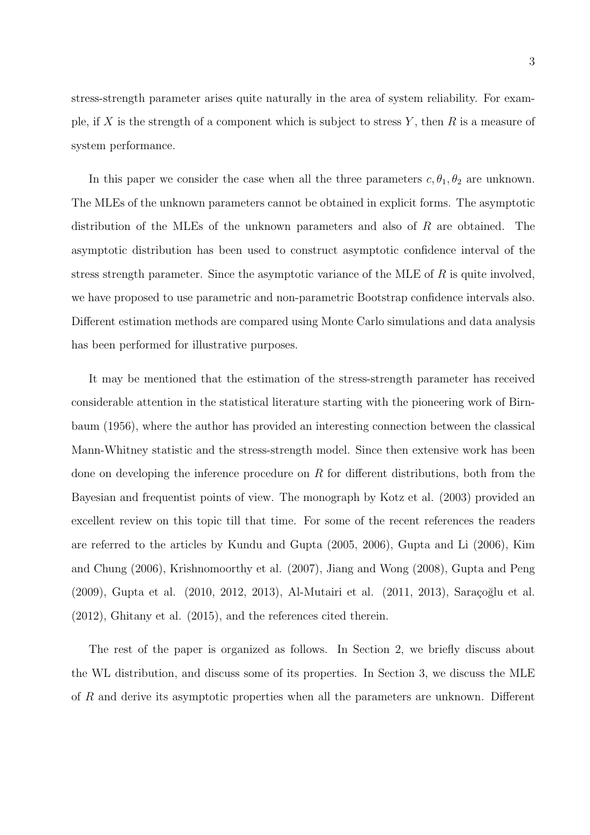stress-strength parameter arises quite naturally in the area of system reliability. For example, if *X* is the strength of a component which is subject to stress *Y* , then *R* is a measure of system performance.

In this paper we consider the case when all the three parameters  $c, \theta_1, \theta_2$  are unknown. The MLEs of the unknown parameters cannot be obtained in explicit forms. The asymptotic distribution of the MLEs of the unknown parameters and also of *R* are obtained. The asymptotic distribution has been used to construct asymptotic confidence interval of the stress strength parameter. Since the asymptotic variance of the MLE of *R* is quite involved, we have proposed to use parametric and non-parametric Bootstrap confidence intervals also. Different estimation methods are compared using Monte Carlo simulations and data analysis has been performed for illustrative purposes.

It may be mentioned that the estimation of the stress-strength parameter has received considerable attention in the statistical literature starting with the pioneering work of Birnbaum (1956), where the author has provided an interesting connection between the classical Mann-Whitney statistic and the stress-strength model. Since then extensive work has been done on developing the inference procedure on *R* for different distributions, both from the Bayesian and frequentist points of view. The monograph by Kotz et al. (2003) provided an excellent review on this topic till that time. For some of the recent references the readers are referred to the articles by Kundu and Gupta (2005, 2006), Gupta and Li (2006), Kim and Chung (2006), Krishnomoorthy et al. (2007), Jiang and Wong (2008), Gupta and Peng  $(2009)$ , Gupta et al.  $(2010, 2012, 2013)$ , Al-Mutairi et al.  $(2011, 2013)$ , Saraçoğlu et al. (2012), Ghitany et al. (2015), and the references cited therein.

The rest of the paper is organized as follows. In Section 2, we briefly discuss about the WL distribution, and discuss some of its properties. In Section 3, we discuss the MLE of *R* and derive its asymptotic properties when all the parameters are unknown. Different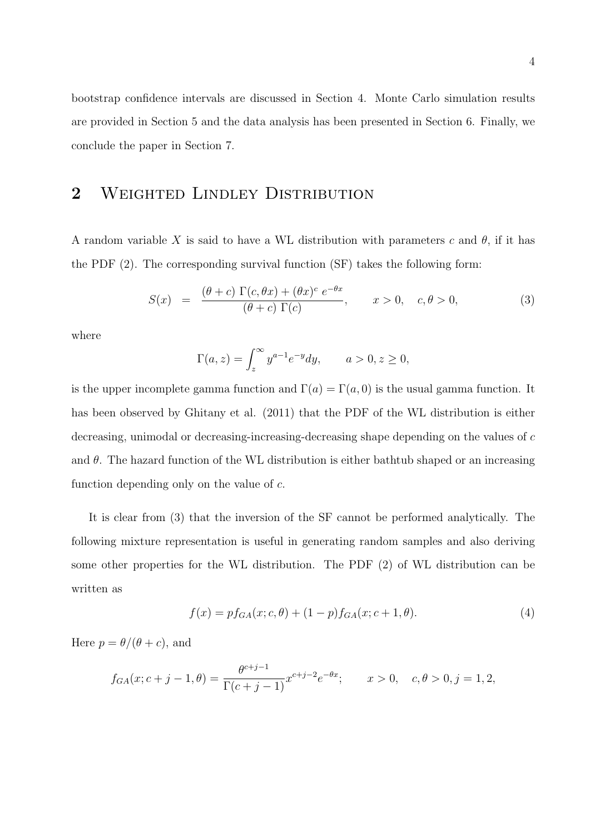bootstrap confidence intervals are discussed in Section 4. Monte Carlo simulation results are provided in Section 5 and the data analysis has been presented in Section 6. Finally, we conclude the paper in Section 7.

## **2** Weighted Lindley Distribution

A random variable X is said to have a WL distribution with parameters  $c$  and  $\theta$ , if it has the PDF (2). The corresponding survival function (SF) takes the following form:

$$
S(x) = \frac{(\theta + c) \Gamma(c, \theta x) + (\theta x)^c e^{-\theta x}}{(\theta + c) \Gamma(c)}, \qquad x > 0, \quad c, \theta > 0,
$$
 (3)

where

$$
\Gamma(a, z) = \int_z^{\infty} y^{a-1} e^{-y} dy, \qquad a > 0, z \ge 0,
$$

is the upper incomplete gamma function and  $\Gamma(a) = \Gamma(a, 0)$  is the usual gamma function. It has been observed by Ghitany et al. (2011) that the PDF of the WL distribution is either decreasing, unimodal or decreasing-increasing-decreasing shape depending on the values of *c* and  $\theta$ . The hazard function of the WL distribution is either bathtub shaped or an increasing function depending only on the value of *c*.

It is clear from (3) that the inversion of the SF cannot be performed analytically. The following mixture representation is useful in generating random samples and also deriving some other properties for the WL distribution. The PDF (2) of WL distribution can be written as

$$
f(x) = p f_{GA}(x; c, \theta) + (1 - p) f_{GA}(x; c + 1, \theta).
$$
 (4)

Here  $p = \theta/(\theta + c)$ , and

$$
f_{GA}(x; c+j-1, \theta) = \frac{\theta^{c+j-1}}{\Gamma(c+j-1)} x^{c+j-2} e^{-\theta x}; \qquad x > 0, \quad c, \theta > 0, j = 1, 2,
$$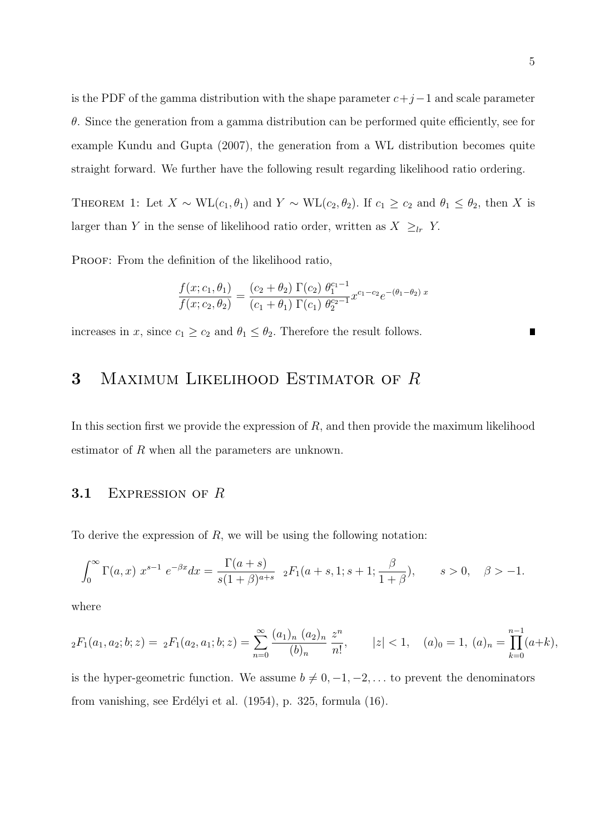is the PDF of the gamma distribution with the shape parameter *c*+*j−*1 and scale parameter *θ*. Since the generation from a gamma distribution can be performed quite efficiently, see for example Kundu and Gupta (2007), the generation from a WL distribution becomes quite straight forward. We further have the following result regarding likelihood ratio ordering.

THEOREM 1: Let  $X \sim \text{WL}(c_1, \theta_1)$  and  $Y \sim \text{WL}(c_2, \theta_2)$ . If  $c_1 \geq c_2$  and  $\theta_1 \leq \theta_2$ , then *X* is larger than *Y* in the sense of likelihood ratio order, written as  $X \geq_{lr} Y$ .

PROOF: From the definition of the likelihood ratio,

$$
\frac{f(x; c_1, \theta_1)}{f(x; c_2, \theta_2)} = \frac{(c_2 + \theta_2) \Gamma(c_2) \theta_1^{c_1 - 1}}{(c_1 + \theta_1) \Gamma(c_1) \theta_2^{c_2 - 1}} x^{c_1 - c_2} e^{-(\theta_1 - \theta_2) x}
$$

increases in *x*, since  $c_1 \geq c_2$  and  $\theta_1 \leq \theta_2$ . Therefore the result follows.

## **3** Maximum Likelihood Estimator of *R*

In this section first we provide the expression of *R*, and then provide the maximum likelihood estimator of *R* when all the parameters are unknown.

#### **3.1** Expression of *R*

To derive the expression of *R*, we will be using the following notation:

$$
\int_0^\infty \Gamma(a,x) \ x^{s-1} \ e^{-\beta x} dx = \frac{\Gamma(a+s)}{s(1+\beta)^{a+s}} \ 2F_1(a+s,1;s+1; \frac{\beta}{1+\beta}), \qquad s > 0, \quad \beta > -1.
$$

where

$$
{}_2F_1(a_1, a_2; b; z) = {}_2F_1(a_2, a_1; b; z) = \sum_{n=0}^{\infty} \frac{(a_1)_n (a_2)_n}{(b)_n} \frac{z^n}{n!}, \qquad |z| < 1, \quad (a)_0 = 1, \ (a)_n = \prod_{k=0}^{n-1} (a+k),
$$

is the hyper-geometric function. We assume  $b \neq 0, -1, -2, \ldots$  to prevent the denominators from vanishing, see Erdélyi et al.  $(1954)$ , p. 325, formula  $(16)$ .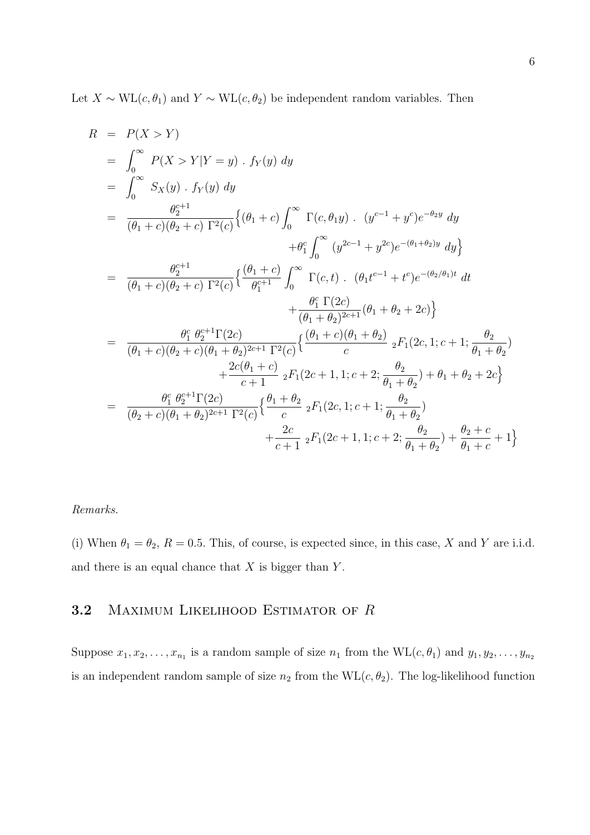Let  $X \sim WL(c, \theta_1)$  and  $Y \sim WL(c, \theta_2)$  be independent random variables. Then

$$
R = P(X > Y)
$$
  
\n
$$
= \int_{0}^{\infty} P(X > Y | Y = y) \cdot f_{Y}(y) dy
$$
  
\n
$$
= \int_{0}^{\infty} S_{X}(y) \cdot f_{Y}(y) dy
$$
  
\n
$$
= \frac{\theta_{2}^{c+1}}{(\theta_{1} + c)(\theta_{2} + c) \Gamma^{2}(c)} \{(\theta_{1} + c) \int_{0}^{\infty} \Gamma(c, \theta_{1}y) \cdot (y^{c-1} + y^{c})e^{-\theta_{2}y} dy
$$
  
\n
$$
+ \theta_{1}^{c} \int_{0}^{\infty} (y^{2c-1} + y^{2c})e^{-(\theta_{1} + \theta_{2})y} dy \}
$$
  
\n
$$
= \frac{\theta_{2}^{c+1}}{(\theta_{1} + c)(\theta_{2} + c) \Gamma^{2}(c)} \{ \frac{(\theta_{1} + c)}{\theta_{1}^{c+1}} \int_{0}^{\infty} \Gamma(c, t) \cdot (\theta_{1}t^{c-1} + t^{c})e^{-(\theta_{2}/\theta_{1})t} dt
$$
  
\n
$$
+ \frac{\theta_{1}^{c} \Gamma(2c)}{(\theta_{1} + \theta_{2})^{2c+1}} (\theta_{1} + \theta_{2} + 2c) \}
$$
  
\n
$$
= \frac{\theta_{1}^{c} \theta_{2}^{c+1} \Gamma(2c)}{(\theta_{1} + c)(\theta_{2} + c)(\theta_{1} + \theta_{2})^{2c+1} \Gamma^{2}(c)} \{ \frac{(\theta_{1} + c)(\theta_{1} + \theta_{2})}{c} \cdot F_{1}(2c, 1; c + 1; \frac{\theta_{2}}{\theta_{1} + \theta_{2}})
$$
  
\n
$$
+ \frac{2c(\theta_{1} + c)}{c+1} \cdot {}_{2}F_{1}(2c+1, 1; c + 2; \frac{\theta_{2}}{\theta_{1} + \theta_{2}}) + \theta_{1} + \theta_{2} + 2c \}
$$
  
\n
$$
= \frac{\theta_{1}^{c} \theta_{2}^{c+1} \Gamma(2c)}{(\theta_{2} + c)(\theta_{1} + \theta_{2})^{2c+1} \Gamma^{2}(c)} \{ \frac{\theta_{1} + \theta_{2}}{c
$$

#### *Remarks.*

(i) When  $\theta_1 = \theta_2$ ,  $R = 0.5$ . This, of course, is expected since, in this case, *X* and *Y* are i.i.d. and there is an equal chance that *X* is bigger than *Y* .

#### **3.2** Maximum Likelihood Estimator of *R*

Suppose  $x_1, x_2, \ldots, x_{n_1}$  is a random sample of size  $n_1$  from the  $\text{WL}(c, \theta_1)$  and  $y_1, y_2, \ldots, y_{n_2}$ is an independent random sample of size  $n_2$  from the  $\text{WL}(c, \theta_2)$ . The log-likelihood function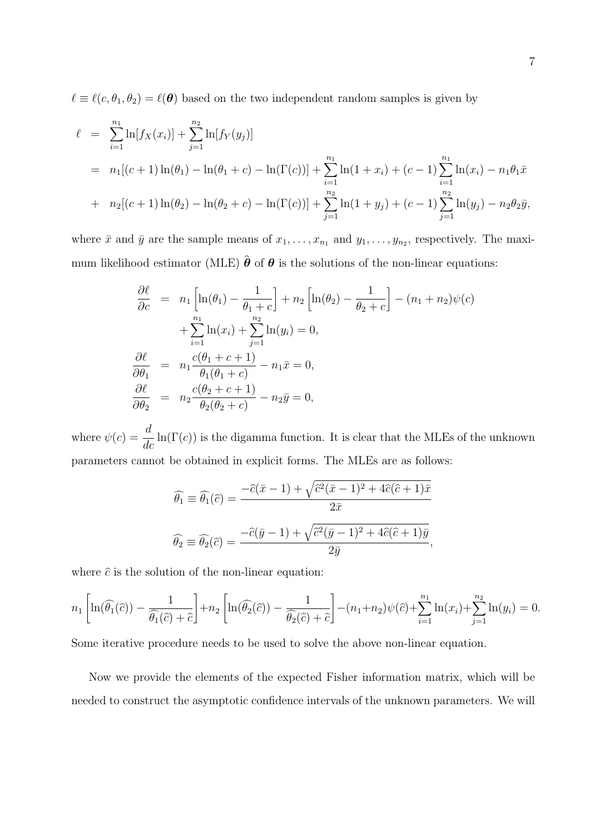$\ell \equiv \ell(c, \theta_1, \theta_2) = \ell(\theta)$  based on the two independent random samples is given by

$$
\ell = \sum_{i=1}^{n_1} \ln[f_X(x_i)] + \sum_{j=1}^{n_2} \ln[f_Y(y_j)]
$$
  
=  $n_1[(c+1)\ln(\theta_1) - \ln(\theta_1 + c) - \ln(\Gamma(c))] + \sum_{i=1}^{n_1} \ln(1 + x_i) + (c-1) \sum_{i=1}^{n_1} \ln(x_i) - n_1\theta_1\bar{x}$   
+  $n_2[(c+1)\ln(\theta_2) - \ln(\theta_2 + c) - \ln(\Gamma(c))] + \sum_{j=1}^{n_2} \ln(1 + y_j) + (c-1) \sum_{j=1}^{n_2} \ln(y_j) - n_2\theta_2\bar{y},$ 

where  $\bar{x}$  and  $\bar{y}$  are the sample means of  $x_1, \ldots, x_{n_1}$  and  $y_1, \ldots, y_{n_2}$ , respectively. The maximum likelihood estimator (MLE)  $\hat{\theta}$  of  $\theta$  is the solutions of the non-linear equations:

$$
\frac{\partial \ell}{\partial c} = n_1 \left[ \ln(\theta_1) - \frac{1}{\theta_1 + c} \right] + n_2 \left[ \ln(\theta_2) - \frac{1}{\theta_2 + c} \right] - (n_1 + n_2) \psi(c)
$$

$$
+ \sum_{i=1}^{n_1} \ln(x_i) + \sum_{j=1}^{n_2} \ln(y_i) = 0,
$$

$$
\frac{\partial \ell}{\partial \theta_1} = n_1 \frac{c(\theta_1 + c + 1)}{\theta_1(\theta_1 + c)} - n_1 \bar{x} = 0,
$$

$$
\frac{\partial \ell}{\partial \theta_2} = n_2 \frac{c(\theta_2 + c + 1)}{\theta_2(\theta_2 + c)} - n_2 \bar{y} = 0,
$$

where  $\psi(c) = \frac{d}{d}$  $\frac{d}{dc}$  ln( $\Gamma(c)$ ) is the digamma function. It is clear that the MLEs of the unknown parameters cannot be obtained in explicit forms. The MLEs are as follows:

$$
\widehat{\theta}_1 \equiv \widehat{\theta}_1(\widehat{c}) = \frac{-\widehat{c}(\bar{x} - 1) + \sqrt{\widehat{c}^2(\bar{x} - 1)^2 + 4\widehat{c}(\widehat{c} + 1)\bar{x}}}{2\bar{x}}
$$

$$
\widehat{\theta}_2 \equiv \widehat{\theta}_2(\widehat{c}) = \frac{-\widehat{c}(\bar{y} - 1) + \sqrt{\widehat{c}^2(\bar{y} - 1)^2 + 4\widehat{c}(\widehat{c} + 1)\bar{y}}}{2\bar{y}},
$$

where  $\hat{c}$  is the solution of the non-linear equation:

$$
n_1\left[\ln(\widehat{\theta_1}(\widehat{c})) - \frac{1}{\widehat{\theta_1}(\widehat{c}) + \widehat{c}}\right] + n_2\left[\ln(\widehat{\theta_2}(\widehat{c})) - \frac{1}{\widehat{\theta_2}(\widehat{c}) + \widehat{c}}\right] - (n_1 + n_2)\psi(\widehat{c}) + \sum_{i=1}^{n_1}\ln(x_i) + \sum_{j=1}^{n_2}\ln(y_i) = 0.
$$

Some iterative procedure needs to be used to solve the above non-linear equation.

Now we provide the elements of the expected Fisher information matrix, which will be needed to construct the asymptotic confidence intervals of the unknown parameters. We will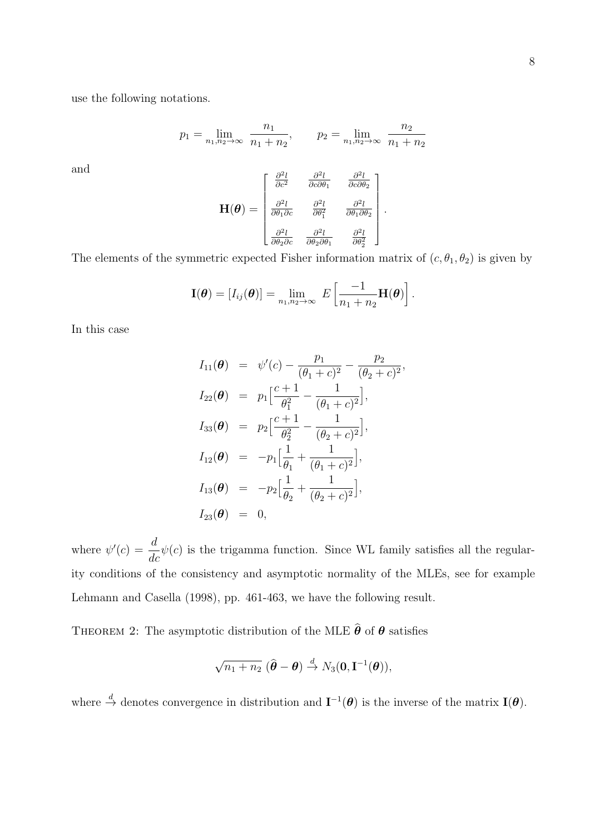use the following notations.

$$
p_1 = \lim_{n_1, n_2 \to \infty} \frac{n_1}{n_1 + n_2}, \qquad p_2 = \lim_{n_1, n_2 \to \infty} \frac{n_2}{n_1 + n_2}
$$

and

$$
\mathbf{H}(\boldsymbol{\theta}) = \begin{bmatrix} \frac{\partial^2 l}{\partial c^2} & \frac{\partial^2 l}{\partial c \partial \theta_1} & \frac{\partial^2 l}{\partial c \partial \theta_2} \\ \frac{\partial^2 l}{\partial \theta_1 \partial c} & \frac{\partial^2 l}{\partial \theta_1^2} & \frac{\partial^2 l}{\partial \theta_1 \partial \theta_2} \\ \frac{\partial^2 l}{\partial \theta_2 \partial c} & \frac{\partial^2 l}{\partial \theta_2 \partial \theta_1} & \frac{\partial^2 l}{\partial \theta_2^2} \end{bmatrix}.
$$

The elements of the symmetric expected Fisher information matrix of  $(c, \theta_1, \theta_2)$  is given by

$$
\mathbf{I}(\boldsymbol{\theta}) = [I_{ij}(\boldsymbol{\theta})] = \lim_{n_1,n_2 \to \infty} E\left[\frac{-1}{n_1+n_2}\mathbf{H}(\boldsymbol{\theta})\right].
$$

In this case

$$
I_{11}(\theta) = \psi'(c) - \frac{p_1}{(\theta_1 + c)^2} - \frac{p_2}{(\theta_2 + c)^2},
$$
  
\n
$$
I_{22}(\theta) = p_1 \left[ \frac{c+1}{\theta_1^2} - \frac{1}{(\theta_1 + c)^2} \right],
$$
  
\n
$$
I_{33}(\theta) = p_2 \left[ \frac{c+1}{\theta_2^2} - \frac{1}{(\theta_2 + c)^2} \right],
$$
  
\n
$$
I_{12}(\theta) = -p_1 \left[ \frac{1}{\theta_1} + \frac{1}{(\theta_1 + c)^2} \right],
$$
  
\n
$$
I_{13}(\theta) = -p_2 \left[ \frac{1}{\theta_2} + \frac{1}{(\theta_2 + c)^2} \right],
$$
  
\n
$$
I_{23}(\theta) = 0,
$$

where  $\psi'(c) = \frac{d}{d}$  $\frac{d}{dc}\psi(c)$  is the trigamma function. Since WL family satisfies all the regularity conditions of the consistency and asymptotic normality of the MLEs, see for example Lehmann and Casella (1998), pp. 461-463, we have the following result.

THEOREM 2: The asymptotic distribution of the MLE  $\hat{\boldsymbol{\theta}}$  of  $\boldsymbol{\theta}$  satisfies

$$
\sqrt{n_1+n_2} \; (\widehat{\boldsymbol{\theta}}-\boldsymbol{\theta}) \stackrel{d}{\to} N_3(\mathbf{0},\mathbf{I}^{-1}(\boldsymbol{\theta})),
$$

where  $\stackrel{d}{\to}$  denotes convergence in distribution and  $I^{-1}(\theta)$  is the inverse of the matrix  $I(\theta)$ .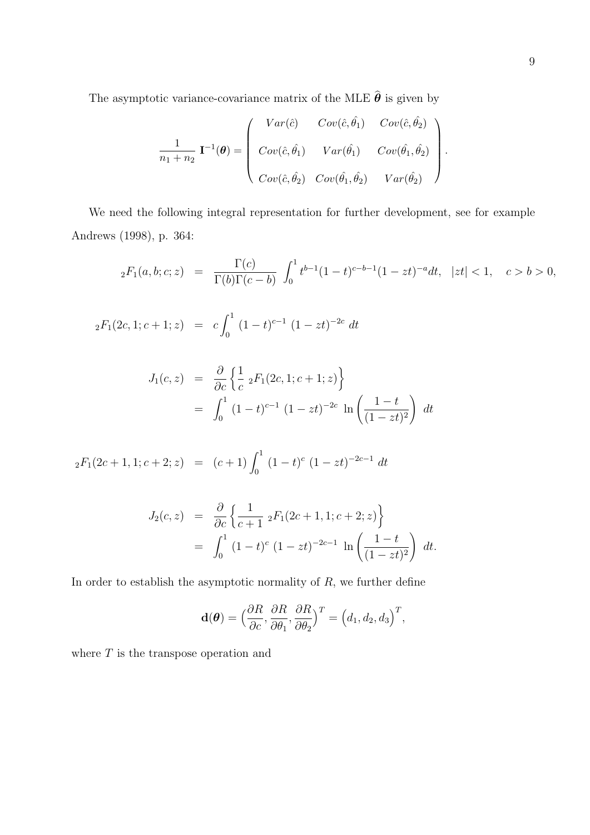The asymptotic variance-covariance matrix of the MLE  $\widehat{\pmb{\theta}}$  is given by

$$
\frac{1}{n_1+n_2} \mathbf{I}^{-1}(\boldsymbol{\theta}) = \begin{pmatrix} Var(\hat{c}) & Cov(\hat{c}, \hat{\theta}_1) & Cov(\hat{c}, \hat{\theta}_2) \\ Cov(\hat{c}, \hat{\theta}_1) & Var(\hat{\theta}_1) & Cov(\hat{\theta}_1, \hat{\theta}_2) \\ Cov(\hat{c}, \hat{\theta}_2) & Cov(\hat{\theta}_1, \hat{\theta}_2) & Var(\hat{\theta}_2) \end{pmatrix}.
$$

We need the following integral representation for further development, see for example Andrews (1998), p. 364:

$$
{}_2F_1(a,b;c;z) = \frac{\Gamma(c)}{\Gamma(b)\Gamma(c-b)} \int_0^1 t^{b-1} (1-t)^{c-b-1} (1-zt)^{-a} dt, \ |zt| < 1, \quad c > b > 0,
$$

$$
_2F_1(2c, 1; c+1; z) = c \int_0^1 (1-t)^{c-1} (1-zt)^{-2c} dt
$$

$$
J_1(c, z) = \frac{\partial}{\partial c} \left\{ \frac{1}{c} \, {}_2F_1(2c, 1; c+1; z) \right\}
$$
  
= 
$$
\int_0^1 (1-t)^{c-1} (1-zt)^{-2c} \ln \left( \frac{1-t}{(1-zt)^2} \right) dt
$$

$$
{}_2F_1(2c+1,1;c+2;z) = (c+1)\int_0^1 (1-t)^c (1-zt)^{-2c-1} dt
$$

$$
J_2(c, z) = \frac{\partial}{\partial c} \left\{ \frac{1}{c+1} {}_2F_1(2c+1, 1; c+2; z) \right\}
$$
  
= 
$$
\int_0^1 (1-t)^c (1-zt)^{-2c-1} \ln \left( \frac{1-t}{(1-zt)^2} \right) dt.
$$

In order to establish the asymptotic normality of *R*, we further define

$$
\mathbf{d}(\boldsymbol{\theta}) = \Big(\frac{\partial R}{\partial c}, \frac{\partial R}{\partial \theta_1}, \frac{\partial R}{\partial \theta_2}\Big)^T = \Big(d_1, d_2, d_3\Big)^T,
$$

where  $T$  is the transpose operation and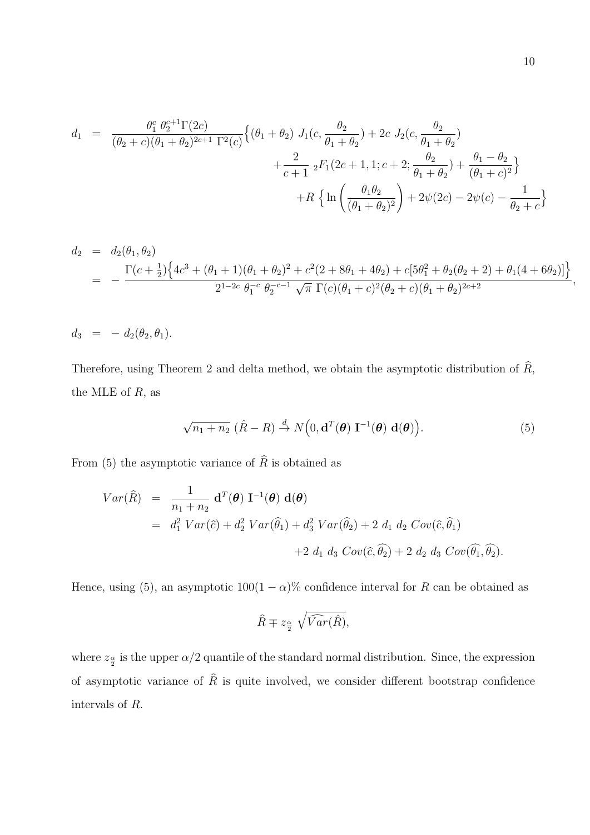$$
d_1 = \frac{\theta_1^c \theta_2^{c+1} \Gamma(2c)}{(\theta_2 + c)(\theta_1 + \theta_2)^{2c+1} \Gamma^2(c)} \Big\{ (\theta_1 + \theta_2) J_1(c, \frac{\theta_2}{\theta_1 + \theta_2}) + 2c J_2(c, \frac{\theta_2}{\theta_1 + \theta_2}) + \frac{2}{c+1} {}_2F_1(2c+1, 1; c+2; \frac{\theta_2}{\theta_1 + \theta_2}) + \frac{\theta_1 - \theta_2}{(\theta_1 + c)^2} \Big\} + R \Big\{ \ln \left( \frac{\theta_1 \theta_2}{(\theta_1 + \theta_2)^2} \right) + 2\psi(2c) - 2\psi(c) - \frac{1}{\theta_2 + c} \Big\}
$$

$$
d_2 = d_2(\theta_1, \theta_2)
$$
  
= 
$$
-\frac{\Gamma(c+\frac{1}{2})\left\{4c^3 + (\theta_1+1)(\theta_1+\theta_2)^2 + c^2(2+8\theta_1+4\theta_2) + c[5\theta_1^2 + \theta_2(\theta_2+2) + \theta_1(4+6\theta_2)]\right\}}{2^{1-2c} \theta_1^{-c} \theta_2^{-c-1} \sqrt{\pi} \Gamma(c)(\theta_1+c)^2(\theta_2+c)(\theta_1+\theta_2)^{2c+2}},
$$

$$
d_3 = -d_2(\theta_2, \theta_1).
$$

Therefore, using Theorem 2 and delta method, we obtain the asymptotic distribution of  $\widehat{R}$ , the MLE of *R*, as

$$
\sqrt{n_1 + n_2} \; (\hat{R} - R) \stackrel{d}{\to} N\Big(0, \mathbf{d}^T(\boldsymbol{\theta}) \; \mathbf{I}^{-1}(\boldsymbol{\theta}) \; \mathbf{d}(\boldsymbol{\theta})\Big). \tag{5}
$$

From (5) the asymptotic variance of  $\hat{R}$  is obtained as

$$
Var(\widehat{R}) = \frac{1}{n_1 + n_2} d^{T}(\boldsymbol{\theta}) \mathbf{I}^{-1}(\boldsymbol{\theta}) d(\boldsymbol{\theta})
$$
  
=  $d_1^2 Var(\widehat{c}) + d_2^2 Var(\widehat{\theta}_1) + d_3^2 Var(\widehat{\theta}_2) + 2 d_1 d_2 Cov(\widehat{c}, \widehat{\theta}_1)$   
+2  $d_1 d_3 Cov(\widehat{c}, \widehat{\theta}_2) + 2 d_2 d_3 Cov(\widehat{\theta}_1, \widehat{\theta}_2).$ 

Hence, using (5), an asymptotic  $100(1 - \alpha)$ % confidence interval for *R* can be obtained as

$$
\hat{R} \mp z_{\frac{\alpha}{2}} \sqrt{\widehat{Var}(\hat{R})},
$$

where  $z_{\frac{\alpha}{2}}$  is the upper  $\alpha/2$  quantile of the standard normal distribution. Since, the expression of asymptotic variance of  $\hat{R}$  is quite involved, we consider different bootstrap confidence intervals of *R*.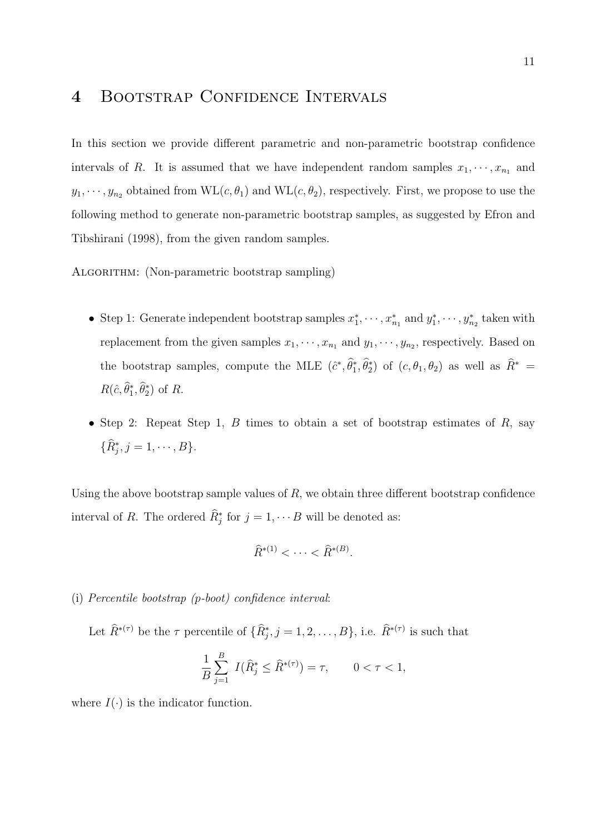### **4** Bootstrap Confidence Intervals

In this section we provide different parametric and non-parametric bootstrap confidence intervals of *R*. It is assumed that we have independent random samples  $x_1, \dots, x_{n_1}$  and  $y_1, \dots, y_{n_2}$  obtained from  $\text{WL}(c, \theta_1)$  and  $\text{WL}(c, \theta_2)$ , respectively. First, we propose to use the following method to generate non-parametric bootstrap samples, as suggested by Efron and Tibshirani (1998), from the given random samples.

ALGORITHM: (Non-parametric bootstrap sampling)

- Step 1: Generate independent bootstrap samples  $x_1^*, \dots, x_{n_1}^*$  and  $y_1^*, \dots, y_{n_2}^*$  taken with replacement from the given samples  $x_1, \dots, x_{n_1}$  and  $y_1, \dots, y_{n_2}$ , respectively. Based on the bootstrap samples, compute the MLE  $(\hat{c}^*, \theta_1^*, \theta_2^*)$  of  $(c, \theta_1, \theta_2)$  as well as  $R^*$  $R(\hat{c}, \theta_1^*, \theta_2^*)$  of *R*.
- *•* Step 2: Repeat Step 1, *B* times to obtain a set of bootstrap estimates of *R*, say  ${R_j^*, j = 1, \cdots, B}.$

Using the above bootstrap sample values of *R,* we obtain three different bootstrap confidence interval of *R*. The ordered  $R_j^*$  for  $j = 1, \dots B$  will be denoted as:

$$
\widehat{R}^{*(1)} < \cdots < \widehat{R}^{*(B)}.
$$

(i) *Percentile bootstrap (p-boot) confidence interval*:

Let  $\widehat{R}^{*(\tau)}$  be the  $\tau$  percentile of  $\{\widehat{R}^*_{j}, j = 1, 2, \ldots, B\}$ , i.e.  $\widehat{R}^{*(\tau)}$  is such that

$$
\frac{1}{B} \sum_{j=1}^{B} I(\hat{R}_{j}^{*} \leq \hat{R}^{*(\tau)}) = \tau, \qquad 0 < \tau < 1,
$$

where  $I(\cdot)$  is the indicator function.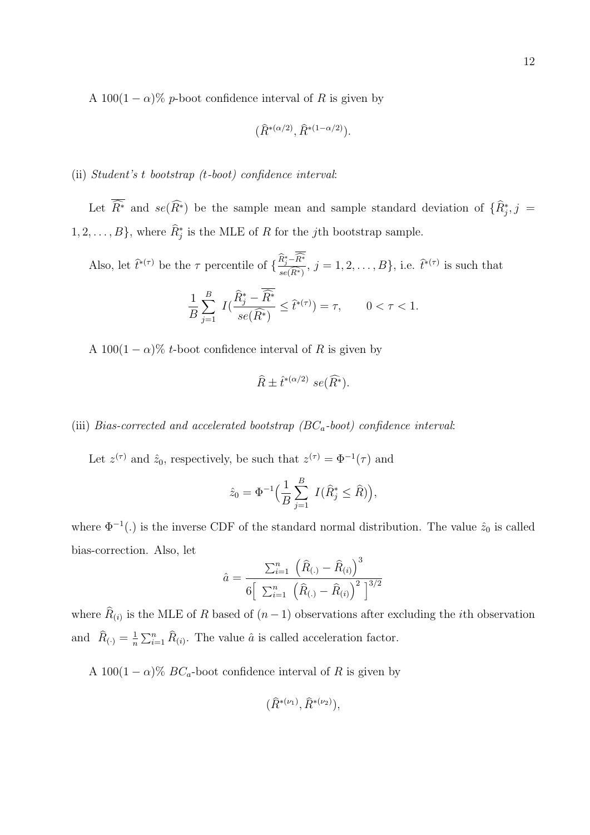A 100(1  $-\alpha$ )% *p*-boot confidence interval of *R* is given by

$$
(\hat{R}^{*(\alpha/2)}, \hat{R}^{*(1-\alpha/2)}).
$$

#### (ii) *Student's t bootstrap (t-boot) confidence interval*:

Let  $R^*$  and  $se(R^*)$  be the sample mean and sample standard deviation of  $\{R_j^*, j =$  $1, 2, \ldots, B$ , where  $R_j^*$  is the MLE of *R* for the *j*th bootstrap sample.

Also, let  $\hat{t}^{*(\tau)}$  be the  $\tau$  percentile of  $\{\frac{R_j^*-R^*}{se(\widehat{R}^*)}$  $se(R^*)$  $, j = 1, 2, \ldots, B$ , i.e.  $\hat{t}^{*(\tau)}$  is such that

$$
\frac{1}{B} \sum_{j=1}^{B} I(\frac{\widehat{R}_{j}^{*} - \overline{\widehat{R}^{*}}}{se(\widehat{R}^{*})} \leq \widehat{t}^{*(\tau)}) = \tau, \qquad 0 < \tau < 1.
$$

A 100(1  $-\alpha$ )% *t*-boot confidence interval of *R* is given by

$$
\widehat{R} \pm \widehat{t}^{*(\alpha/2)} \; se(\widehat{R^*}).
$$

#### (iii) *Bias-corrected and accelerated bootstrap (BCa-boot) confidence interval*:

Let  $z^{(\tau)}$  and  $\hat{z}_0$ , respectively, be such that  $z^{(\tau)} = \Phi^{-1}(\tau)$  and

$$
\hat{z}_0 = \Phi^{-1}\Big(\frac{1}{B}\sum_{j=1}^B I(\hat{R}_j^* \leq \hat{R})\Big),
$$

where  $\Phi^{-1}(.)$  is the inverse CDF of the standard normal distribution. The value  $\hat{z}_0$  is called bias-correction. Also, let

$$
\hat{a} = \frac{\sum_{i=1}^{n} (\hat{R}_{(.)} - \hat{R}_{(i)})^3}{6\left[\sum_{i=1}^{n} (\hat{R}_{(.)} - \hat{R}_{(i)})^2\right]^{3/2}}
$$

where  $R_{(i)}$  is the MLE of  $R$  based of  $(n-1)$  observations after excluding the *i*th observation and  $\widehat{R}_{(\cdot)} = \frac{1}{n}$  $\frac{1}{n} \sum_{i=1}^{n} \hat{R}_{(i)}$ . The value  $\hat{a}$  is called acceleration factor.

A 100(1  $-\alpha$ )% *BC*<sub>a</sub>-boot confidence interval of *R* is given by

$$
(\widehat{R}^{*(\nu_1)}, \widehat{R}^{*(\nu_2)}),
$$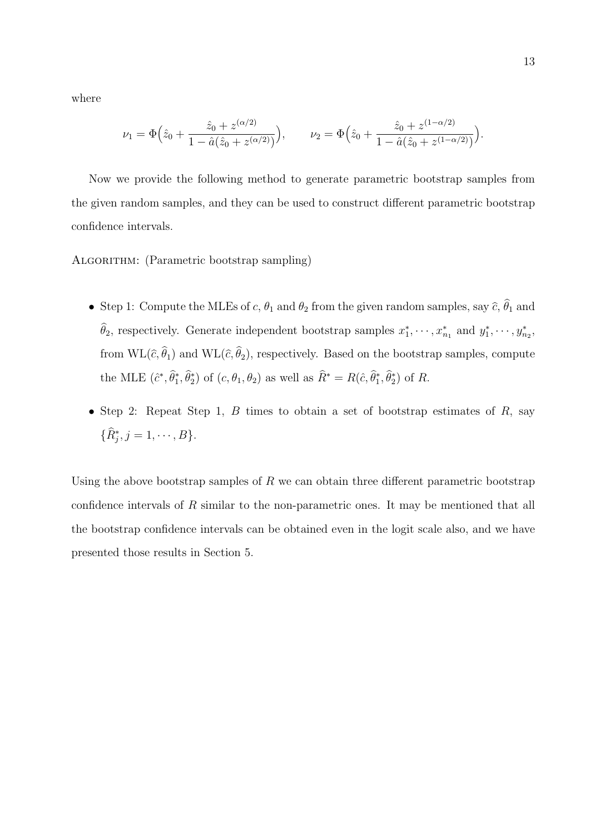where

$$
\nu_1 = \Phi\Big(\hat{z}_0 + \frac{\hat{z}_0 + z^{(\alpha/2)}}{1 - \hat{a}(\hat{z}_0 + z^{(\alpha/2)})}\Big), \qquad \nu_2 = \Phi\Big(\hat{z}_0 + \frac{\hat{z}_0 + z^{(1-\alpha/2)}}{1 - \hat{a}(\hat{z}_0 + z^{(1-\alpha/2)})}\Big).
$$

Now we provide the following method to generate parametric bootstrap samples from the given random samples, and they can be used to construct different parametric bootstrap confidence intervals.

ALGORITHM: (Parametric bootstrap sampling)

- Step 1: Compute the MLEs of *c*,  $\theta_1$  and  $\theta_2$  from the given random samples, say  $\hat{c}$ ,  $\theta_1$  and  $\theta_2$ , respectively. Generate independent bootstrap samples  $x_1^*, \dots, x_{n_1}^*$  and  $y_1^*, \dots, y_{n_2}^*$ , from  $\text{WL}(\hat{c}, \theta_1)$  and  $\text{WL}(\hat{c}, \theta_2)$ , respectively. Based on the bootstrap samples, compute the MLE  $(\hat{c}^*, \theta_1^*, \theta_2^*)$  of  $(c, \theta_1, \theta_2)$  as well as  $R^* = R(\hat{c}, \theta_1^*, \theta_2^*)$  of R.
- *•* Step 2: Repeat Step 1, *B* times to obtain a set of bootstrap estimates of *R*, say  ${R_j^*, j = 1, \cdots, B}$

Using the above bootstrap samples of *R* we can obtain three different parametric bootstrap confidence intervals of *R* similar to the non-parametric ones. It may be mentioned that all the bootstrap confidence intervals can be obtained even in the logit scale also, and we have presented those results in Section 5.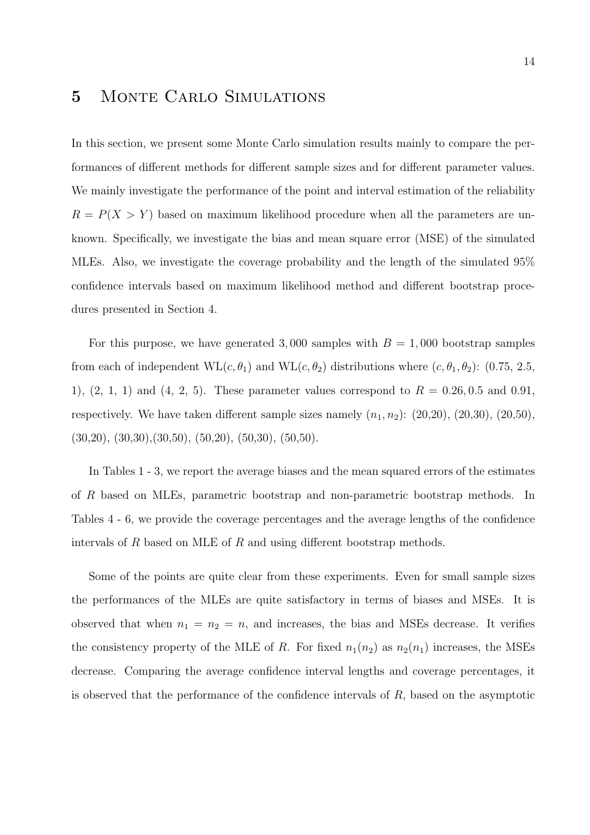### **5** Monte Carlo Simulations

In this section, we present some Monte Carlo simulation results mainly to compare the performances of different methods for different sample sizes and for different parameter values. We mainly investigate the performance of the point and interval estimation of the reliability  $R = P(X > Y)$  based on maximum likelihood procedure when all the parameters are unknown. Specifically, we investigate the bias and mean square error (MSE) of the simulated MLEs. Also, we investigate the coverage probability and the length of the simulated 95% confidence intervals based on maximum likelihood method and different bootstrap procedures presented in Section 4.

For this purpose, we have generated 3,000 samples with  $B = 1,000$  bootstrap samples from each of independent  $\text{WL}(c, \theta_1)$  and  $\text{WL}(c, \theta_2)$  distributions where  $(c, \theta_1, \theta_2)$ : (0.75, 2.5, 1),  $(2, 1, 1)$  and  $(4, 2, 5)$ . These parameter values correspond to  $R = 0.26, 0.5$  and 0.91, respectively. We have taken different sample sizes namely  $(n_1, n_2)$ :  $(20, 20)$ ,  $(20, 30)$ ,  $(20, 50)$ ,  $(30,20), (30,30), (30,50), (50,20), (50,30), (50,50).$ 

In Tables 1 - 3, we report the average biases and the mean squared errors of the estimates of *R* based on MLEs, parametric bootstrap and non-parametric bootstrap methods. In Tables 4 - 6, we provide the coverage percentages and the average lengths of the confidence intervals of *R* based on MLE of *R* and using different bootstrap methods.

Some of the points are quite clear from these experiments. Even for small sample sizes the performances of the MLEs are quite satisfactory in terms of biases and MSEs. It is observed that when  $n_1 = n_2 = n$ , and increases, the bias and MSEs decrease. It verifies the consistency property of the MLE of *R*. For fixed  $n_1(n_2)$  as  $n_2(n_1)$  increases, the MSEs decrease. Comparing the average confidence interval lengths and coverage percentages, it is observed that the performance of the confidence intervals of *R*, based on the asymptotic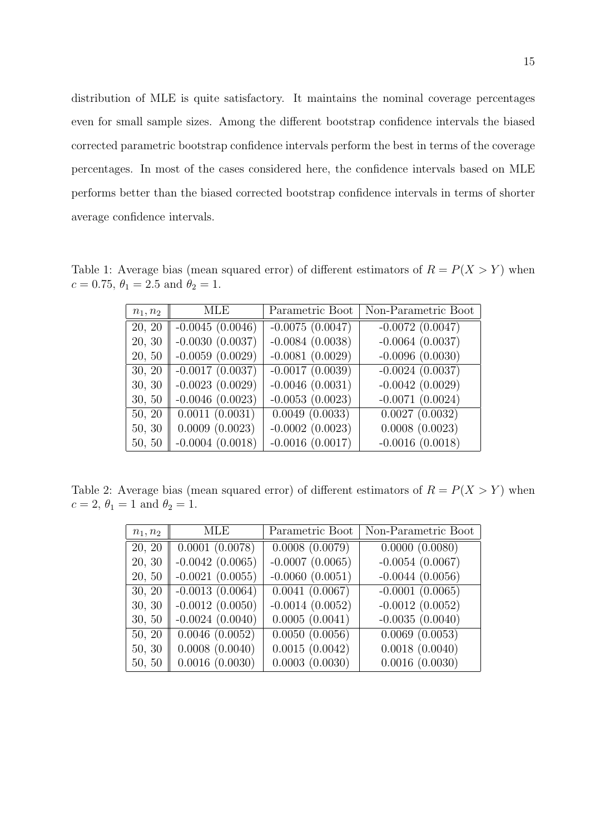distribution of MLE is quite satisfactory. It maintains the nominal coverage percentages even for small sample sizes. Among the different bootstrap confidence intervals the biased corrected parametric bootstrap confidence intervals perform the best in terms of the coverage percentages. In most of the cases considered here, the confidence intervals based on MLE performs better than the biased corrected bootstrap confidence intervals in terms of shorter average confidence intervals.

Table 1: Average bias (mean squared error) of different estimators of  $R = P(X > Y)$  when  $c = 0.75, \theta_1 = 2.5 \text{ and } \theta_2 = 1.$ 

| MLE<br>$n_1, n_2$ |                      | Parametric Boot      | Non-Parametric Boot |  |
|-------------------|----------------------|----------------------|---------------------|--|
| 20, 20            | $-0.0045(0.0046)$    | $-0.0075(0.0047)$    | $-0.0072(0.0047)$   |  |
| 20, 30            | $-0.0030(0.0037)$    | $-0.0084(0.0038)$    | $-0.0064(0.0037)$   |  |
| 20, 50            | $-0.0059(0.0029)$    | $-0.0081(0.0029)$    | $-0.0096(0.0030)$   |  |
| 30, 20            | $-0.0017$ $(0.0037)$ | $-0.0017(0.0039)$    | $-0.0024(0.0037)$   |  |
| 30, 30            | $-0.0023(0.0029)$    | $-0.0046(0.0031)$    | $-0.0042(0.0029)$   |  |
| 30, 50            | $-0.0046$ $(0.0023)$ | $-0.0053(0.0023)$    | $-0.0071(0.0024)$   |  |
| 50, 20            | 0.0011(0.0031)       | 0.0049(0.0033)       | 0.0027(0.0032)      |  |
| 50, 30            | 0.0009(0.0023)       | $-0.0002(0.0023)$    | 0.0008(0.0023)      |  |
| 50, 50            | $-0.0004(0.0018)$    | $-0.0016$ $(0.0017)$ | $-0.0016(0.0018)$   |  |

Table 2: Average bias (mean squared error) of different estimators of  $R = P(X > Y)$  when  $c = 2, \theta_1 = 1$  and  $\theta_2 = 1$ .

| $n_1, n_2$ | MLE.              | Parametric Boot   | Non-Parametric Boot |
|------------|-------------------|-------------------|---------------------|
| 20, 20     | 0.0001(0.0078)    | 0.0008(0.0079)    | 0.0000(0.0080)      |
| 20, 30     | $-0.0042(0.0065)$ | $-0.0007(0.0065)$ | $-0.0054(0.0067)$   |
| 20, 50     | $-0.0021(0.0055)$ | $-0.0060(0.0051)$ | $-0.0044(0.0056)$   |
| 30, 20     | $-0.0013(0.0064)$ | 0.0041(0.0067)    | $-0.0001(0.0065)$   |
| 30, 30     | $-0.0012(0.0050)$ | $-0.0014(0.0052)$ | $-0.0012(0.0052)$   |
| 30, 50     | $-0.0024(0.0040)$ | 0.0005(0.0041)    | $-0.0035(0.0040)$   |
| 50, 20     | 0.0046(0.0052)    | 0.0050(0.0056)    | 0.0069(0.0053)      |
| 50, 30     | 0.0008(0.0040)    | 0.0015(0.0042)    | 0.0018(0.0040)      |
| 50, 50     | 0.0016(0.0030)    | 0.0003(0.0030)    | 0.0016(0.0030)      |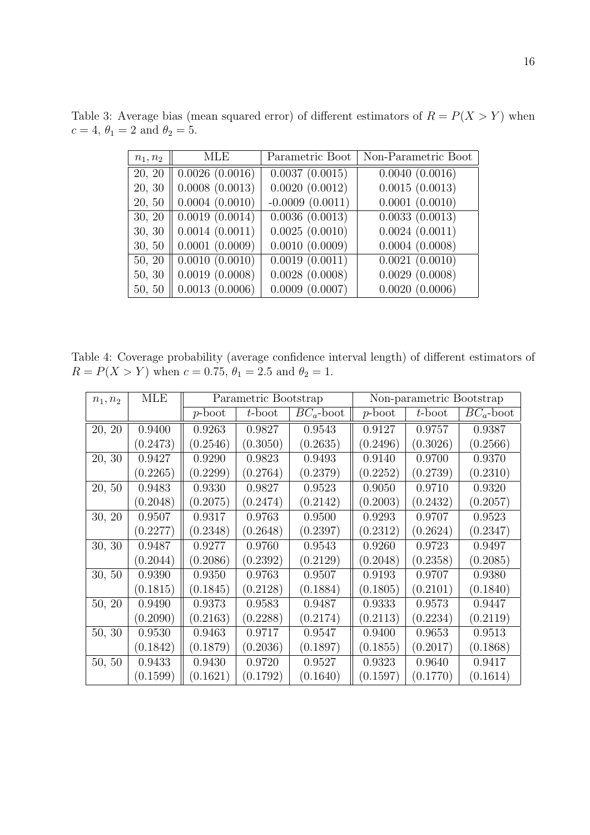| $n_1, n_2$ | MLE            | Parametric Boot     | Non-Parametric Boot |
|------------|----------------|---------------------|---------------------|
| 20, 20     | 0.0026(0.0016) | 0.0037(0.0015)      | 0.0040(0.0016)      |
| 20, 30     | 0.0008(0.0013) | 0.0020(0.0012)      | 0.0015(0.0013)      |
| 20, 50     | 0.0004(0.0010) | $-0.0009(0.0011)$   | 0.0001(0.0010)      |
| 30, 20     | 0.0019(0.0014) | 0.0036(0.0013)      | 0.0033(0.0013)      |
| 30, 30     | 0.0014(0.0011) | 0.0025(0.0010)      | 0.0024(0.0011)      |
| 30, 50     | 0.0001(0.0009) | 0.0010(0.0009)      | 0.0004(0.0008)      |
| 50, 20     | 0.0010(0.0010) | 0.0019(0.0011)      | 0.0021(0.0010)      |
| 50, 30     | 0.0019(0.0008) | $0.0028$ $(0.0008)$ | 0.0029(0.0008)      |
| 50, 50     | 0.0013(0.0006) | $0.0009$ $(0.0007)$ | 0.0020(0.0006)      |

Table 3: Average bias (mean squared error) of different estimators of  $R = P(X > Y)$  when  $c = 4, \theta_1 = 2 \text{ and } \theta_2 = 5.$ 

Table 4: Coverage probability (average confidence interval length) of different estimators of  $R = P(X > Y)$  when  $c = 0.75$ ,  $\theta_1 = 2.5$  and  $\theta_2 = 1$ .

| $n_1, n_2$ | MLE      | Parametric Bootstrap |          |              |          | Non-parametric Bootstrap |              |
|------------|----------|----------------------|----------|--------------|----------|--------------------------|--------------|
|            |          | p-boot               | t-boot   | $BC_a$ -boot | p-boot   | $t$ -boot                | $BC_a$ -boot |
| 20, 20     | 0.9400   | 0.9263               | 0.9827   | 0.9543       | 0.9127   | 0.9757                   | 0.9387       |
|            | (0.2473) | (0.2546)             | (0.3050) | (0.2635)     | (0.2496) | (0.3026)                 | (0.2566)     |
| 20, 30     | 0.9427   | 0.9290               | 0.9823   | 0.9493       | 0.9140   | 0.9700                   | 0.9370       |
|            | (0.2265) | (0.2299)             | (0.2764) | (0.2379)     | (0.2252) | (0.2739)                 | (0.2310)     |
| 20, 50     | 0.9483   | 0.9330               | 0.9827   | 0.9523       | 0.9050   | 0.9710                   | 0.9320       |
|            | (0.2048) | (0.2075)             | (0.2474) | (0.2142)     | (0.2003) | (0.2432)                 | (0.2057)     |
| 30, 20     | 0.9507   | 0.9317               | 0.9763   | 0.9500       | 0.9293   | 0.9707                   | 0.9523       |
|            | (0.2277) | (0.2348)             | (0.2648) | (0.2397)     | (0.2312) | (0.2624)                 | (0.2347)     |
| 30, 30     | 0.9487   | 0.9277               | 0.9760   | 0.9543       | 0.9260   | 0.9723                   | 0.9497       |
|            | (0.2044) | (0.2086)             | (0.2392) | (0.2129)     | (0.2048) | (0.2358)                 | (0.2085)     |
| 30, 50     | 0.9390   | 0.9350               | 0.9763   | 0.9507       | 0.9193   | 0.9707                   | 0.9380       |
|            | (0.1815) | (0.1845)             | (0.2128) | (0.1884)     | (0.1805) | (0.2101)                 | (0.1840)     |
| 50, 20     | 0.9490   | 0.9373               | 0.9583   | 0.9487       | 0.9333   | 0.9573                   | 0.9447       |
|            | (0.2090) | (0.2163)             | (0.2288) | (0.2174)     | (0.2113) | (0.2234)                 | (0.2119)     |
| 50, 30     | 0.9530   | 0.9463               | 0.9717   | 0.9547       | 0.9400   | 0.9653                   | 0.9513       |
|            | (0.1842) | (0.1879)             | (0.2036) | (0.1897)     | (0.1855) | (0.2017)                 | (0.1868)     |
| 50, 50     | 0.9433   | 0.9430               | 0.9720   | 0.9527       | 0.9323   | 0.9640                   | 0.9417       |
|            | (0.1599) | (0.1621)             | (0.1792) | (0.1640)     | (0.1597) | (0.1770)                 | (0.1614)     |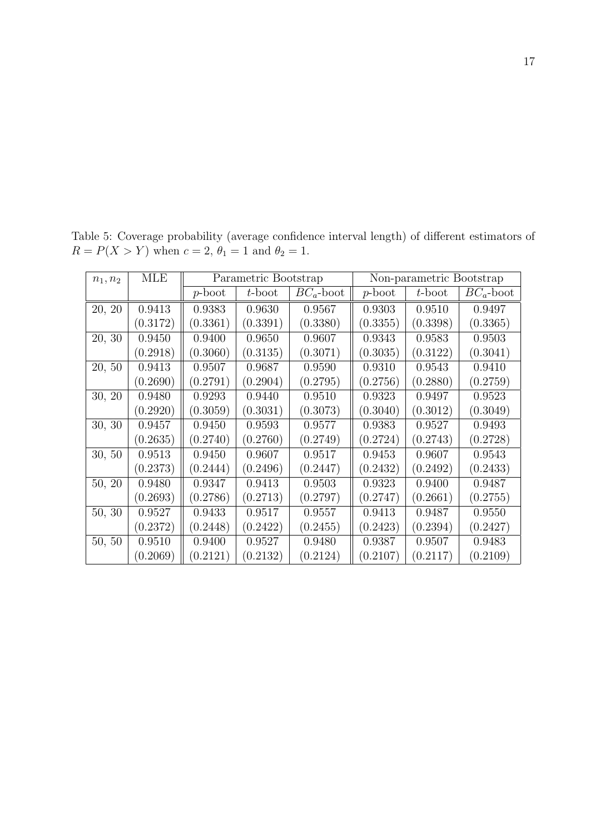| $n_1, n_2$ | MLE      | Parametric Bootstrap |           |              | Non-parametric Bootstrap |           |              |
|------------|----------|----------------------|-----------|--------------|--------------------------|-----------|--------------|
|            |          | $p\text{-boot}$      | $t$ -boot | $BC_a$ -boot | $p\text{-boot}$          | $t$ -boot | $BC_a$ -boot |
| 20, 20     | 0.9413   | 0.9383               | 0.9630    | 0.9567       | 0.9303                   | 0.9510    | 0.9497       |
|            | (0.3172) | (0.3361)             | (0.3391)  | (0.3380)     | (0.3355)                 | (0.3398)  | (0.3365)     |
| 20, 30     | 0.9450   | 0.9400               | 0.9650    | 0.9607       | 0.9343                   | 0.9583    | 0.9503       |
|            | (0.2918) | (0.3060)             | (0.3135)  | (0.3071)     | (0.3035)                 | (0.3122)  | (0.3041)     |
| 20, 50     | 0.9413   | 0.9507               | 0.9687    | 0.9590       | 0.9310                   | 0.9543    | 0.9410       |
|            | (0.2690) | (0.2791)             | (0.2904)  | (0.2795)     | (0.2756)                 | (0.2880)  | (0.2759)     |
| 30, 20     | 0.9480   | 0.9293               | 0.9440    | 0.9510       | 0.9323                   | 0.9497    | 0.9523       |
|            | (0.2920) | (0.3059)             | (0.3031)  | (0.3073)     | (0.3040)                 | (0.3012)  | (0.3049)     |
| 30, 30     | 0.9457   | 0.9450               | 0.9593    | 0.9577       | 0.9383                   | 0.9527    | 0.9493       |
|            | (0.2635) | (0.2740)             | (0.2760)  | (0.2749)     | (0.2724)                 | (0.2743)  | (0.2728)     |
| 30, 50     | 0.9513   | 0.9450               | 0.9607    | 0.9517       | 0.9453                   | 0.9607    | 0.9543       |
|            | (0.2373) | (0.2444)             | (0.2496)  | (0.2447)     | (0.2432)                 | (0.2492)  | (0.2433)     |
| 50, 20     | 0.9480   | 0.9347               | 0.9413    | 0.9503       | 0.9323                   | 0.9400    | 0.9487       |
|            | (0.2693) | (0.2786)             | (0.2713)  | (0.2797)     | (0.2747)                 | (0.2661)  | (0.2755)     |
| 50, 30     | 0.9527   | 0.9433               | 0.9517    | 0.9557       | 0.9413                   | 0.9487    | 0.9550       |
|            | (0.2372) | (0.2448)             | (0.2422)  | (0.2455)     | (0.2423)                 | (0.2394)  | (0.2427)     |

50, 50 0.9510 0.9400 0.9527 0.9480 0.9387 0.9507 0.9483

 $(0.2069)$   $\vert$   $(0.2121)$   $\vert$   $(0.2132)$   $\vert$   $(0.2124)$   $\vert$   $(0.2107)$   $\vert$   $(0.2117)$   $\vert$   $(0.2109)$ 

Table 5: Coverage probability (average confidence interval length) of different estimators of  $R = P(X > Y)$  when  $c = 2$ ,  $\theta_1 = 1$  and  $\theta_2 = 1$ .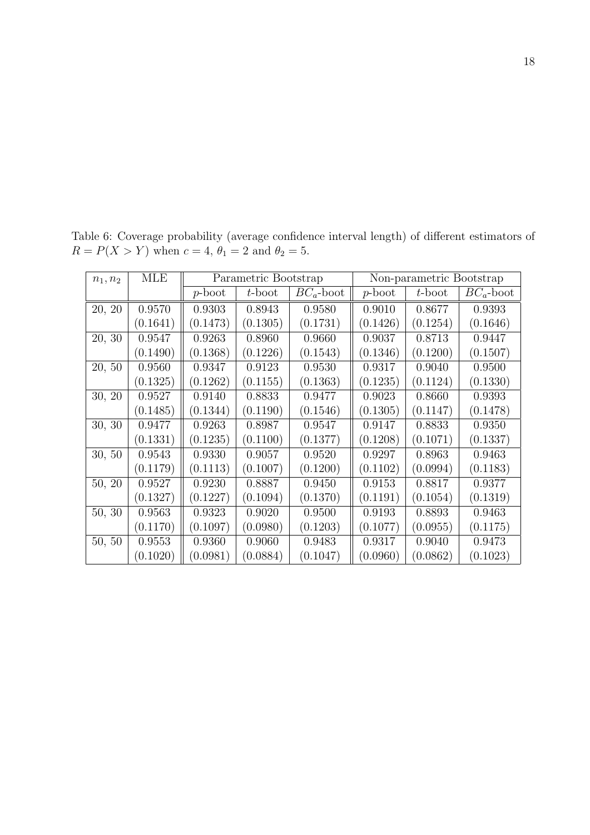| $n_1, n_2$ | MLE      | Parametric Bootstrap |           |              |          | Non-parametric Bootstrap |              |
|------------|----------|----------------------|-----------|--------------|----------|--------------------------|--------------|
|            |          | p-boot               | $t$ -boot | $BC_a$ -boot | p-boot   | $t$ -boot                | $BC_a$ -boot |
| 20, 20     | 0.9570   | 0.9303               | 0.8943    | 0.9580       | 0.9010   | 0.8677                   | 0.9393       |
|            | (0.1641) | (0.1473)             | (0.1305)  | (0.1731)     | (0.1426) | (0.1254)                 | (0.1646)     |
| 20, 30     | 0.9547   | 0.9263               | 0.8960    | 0.9660       | 0.9037   | 0.8713                   | 0.9447       |
|            | (0.1490) | (0.1368)             | (0.1226)  | (0.1543)     | (0.1346) | (0.1200)                 | (0.1507)     |
| 20, 50     | 0.9560   | 0.9347               | 0.9123    | 0.9530       | 0.9317   | 0.9040                   | 0.9500       |
|            | (0.1325) | (0.1262)             | (0.1155)  | (0.1363)     | (0.1235) | (0.1124)                 | (0.1330)     |
| 30, 20     | 0.9527   | 0.9140               | 0.8833    | 0.9477       | 0.9023   | 0.8660                   | 0.9393       |
|            | (0.1485) | (0.1344)             | (0.1190)  | (0.1546)     | (0.1305) | (0.1147)                 | (0.1478)     |
| 30, 30     | 0.9477   | 0.9263               | 0.8987    | 0.9547       | 0.9147   | 0.8833                   | 0.9350       |
|            | (0.1331) | (0.1235)             | (0.1100)  | (0.1377)     | (0.1208) | (0.1071)                 | (0.1337)     |
| 30, 50     | 0.9543   | 0.9330               | 0.9057    | 0.9520       | 0.9297   | 0.8963                   | 0.9463       |
|            | (0.1179) | (0.1113)             | (0.1007)  | (0.1200)     | (0.1102) | $\left( 0.0994\right)$   | (0.1183)     |
| 50, 20     | 0.9527   | 0.9230               | 0.8887    | 0.9450       | 0.9153   | 0.8817                   | 0.9377       |
|            | (0.1327) | (0.1227)             | (0.1094)  | (0.1370)     | (0.1191) | (0.1054)                 | (0.1319)     |
| 50, 30     | 0.9563   | 0.9323               | 0.9020    | 0.9500       | 0.9193   | 0.8893                   | 0.9463       |
|            | (0.1170) | (0.1097)             | (0.0980)  | (0.1203)     | (0.1077) | (0.0955)                 | (0.1175)     |
| 50, 50     | 0.9553   | 0.9360               | 0.9060    | 0.9483       | 0.9317   | 0.9040                   | 0.9473       |
|            | (0.1020) | (0.0981)             | (0.0884)  | (0.1047)     | (0.0960) | (0.0862)                 | (0.1023)     |

Table 6: Coverage probability (average confidence interval length) of different estimators of  $R = P(X > Y)$  when  $c = 4, \theta_1 = 2$  and  $\theta_2 = 5$ .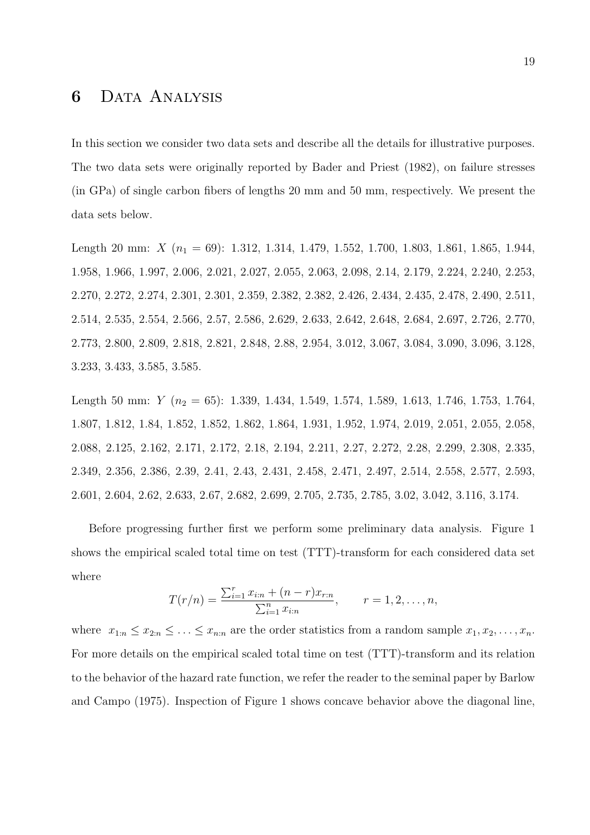### **6** Data Analysis

In this section we consider two data sets and describe all the details for illustrative purposes. The two data sets were originally reported by Bader and Priest (1982), on failure stresses (in GPa) of single carbon fibers of lengths 20 mm and 50 mm, respectively. We present the data sets below.

Length 20 mm: *X* (*n*<sub>1</sub> = 69): 1.312, 1.314, 1.479, 1.552, 1.700, 1.803, 1.861, 1.865, 1.944, 1.958, 1.966, 1.997, 2.006, 2.021, 2.027, 2.055, 2.063, 2.098, 2.14, 2.179, 2.224, 2.240, 2.253, 2.270, 2.272, 2.274, 2.301, 2.301, 2.359, 2.382, 2.382, 2.426, 2.434, 2.435, 2.478, 2.490, 2.511, 2.514, 2.535, 2.554, 2.566, 2.57, 2.586, 2.629, 2.633, 2.642, 2.648, 2.684, 2.697, 2.726, 2.770, 2.773, 2.800, 2.809, 2.818, 2.821, 2.848, 2.88, 2.954, 3.012, 3.067, 3.084, 3.090, 3.096, 3.128, 3.233, 3.433, 3.585, 3.585.

Length 50 mm: *Y* (*n*<sub>2</sub> = 65): 1.339, 1.434, 1.549, 1.574, 1.589, 1.613, 1.746, 1.753, 1.764, 1.807, 1.812, 1.84, 1.852, 1.852, 1.862, 1.864, 1.931, 1.952, 1.974, 2.019, 2.051, 2.055, 2.058, 2.088, 2.125, 2.162, 2.171, 2.172, 2.18, 2.194, 2.211, 2.27, 2.272, 2.28, 2.299, 2.308, 2.335, 2.349, 2.356, 2.386, 2.39, 2.41, 2.43, 2.431, 2.458, 2.471, 2.497, 2.514, 2.558, 2.577, 2.593, 2.601, 2.604, 2.62, 2.633, 2.67, 2.682, 2.699, 2.705, 2.735, 2.785, 3.02, 3.042, 3.116, 3.174.

Before progressing further first we perform some preliminary data analysis. Figure 1 shows the empirical scaled total time on test (TTT)-transform for each considered data set where

$$
T(r/n) = \frac{\sum_{i=1}^{r} x_{i:n} + (n-r)x_{r:n}}{\sum_{i=1}^{n} x_{i:n}}, \qquad r = 1, 2, \dots, n,
$$

where  $x_{1:n} \leq x_{2:n} \leq \ldots \leq x_{n:n}$  are the order statistics from a random sample  $x_1, x_2, \ldots, x_n$ . For more details on the empirical scaled total time on test (TTT)-transform and its relation to the behavior of the hazard rate function, we refer the reader to the seminal paper by Barlow and Campo (1975). Inspection of Figure 1 shows concave behavior above the diagonal line,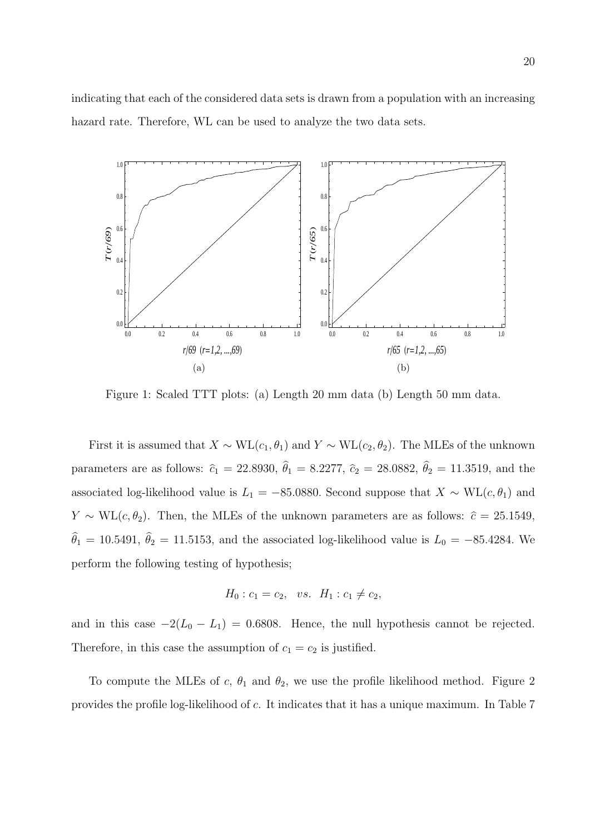indicating that each of the considered data sets is drawn from a population with an increasing hazard rate. Therefore, WL can be used to analyze the two data sets.



Figure 1: Scaled TTT plots: (a) Length 20 mm data (b) Length 50 mm data.

First it is assumed that  $X \sim WL(c_1, \theta_1)$  and  $Y \sim WL(c_2, \theta_2)$ . The MLEs of the unknown parameters are as follows:  $\hat{c}_1 = 22.8930, \hat{\theta}_1 = 8.2277, \hat{c}_2 = 28.0882, \hat{\theta}_2 = 11.3519$ , and the associated log-likelihood value is  $L_1 = -85.0880$ . Second suppose that  $X \sim WL(c, \theta_1)$  and *Y* ~ WL(*c*,  $\theta_2$ ). Then, the MLEs of the unknown parameters are as follows:  $\hat{c} = 25.1549$ ,  $\hat{\theta}_1 = 10.5491$ ,  $\hat{\theta}_2 = 11.5153$ , and the associated log-likelihood value is  $L_0 = -85.4284$ . We perform the following testing of hypothesis;

$$
H_0: c_1 = c_2, \ \ vs. \ \ H_1: c_1 \neq c_2,
$$

and in this case  $-2(L_0 - L_1) = 0.6808$ . Hence, the null hypothesis cannot be rejected. Therefore, in this case the assumption of  $c_1 = c_2$  is justified.

To compute the MLEs of  $c, \theta_1$  and  $\theta_2$ , we use the profile likelihood method. Figure 2 provides the profile log-likelihood of *c*. It indicates that it has a unique maximum. In Table 7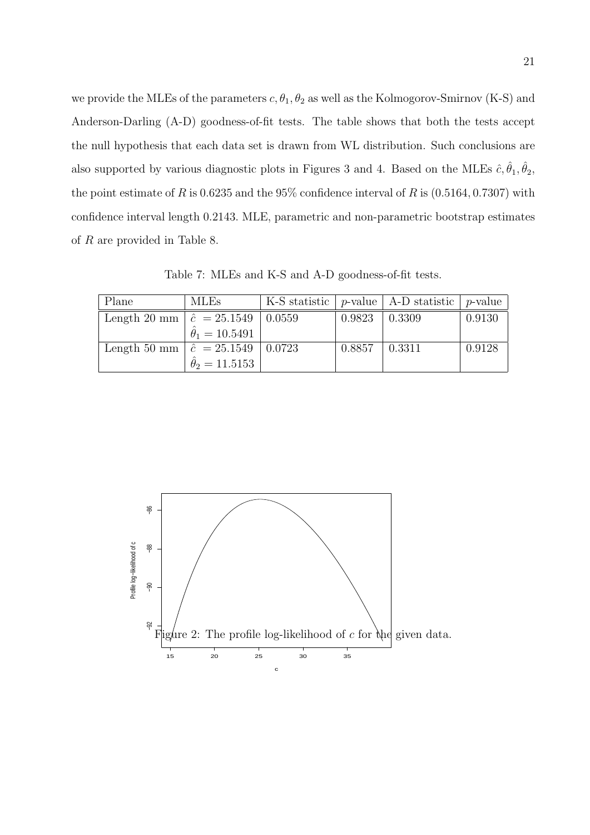we provide the MLEs of the parameters  $c, \theta_1, \theta_2$  as well as the Kolmogorov-Smirnov (K-S) and Anderson-Darling (A-D) goodness-of-fit tests. The table shows that both the tests accept the null hypothesis that each data set is drawn from WL distribution. Such conclusions are also supported by various diagnostic plots in Figures 3 and 4. Based on the MLEs  $\hat{c}, \hat{\theta}_1, \hat{\theta}_2$ , the point estimate of *R* is 0.6235 and the 95% confidence interval of *R* is (0*.*5164*,* 0*.*7307) with confidence interval length 0*.*2143*.* MLE, parametric and non-parametric bootstrap estimates of *R* are provided in Table 8.

Table 7: MLEs and K-S and A-D goodness-of-fit tests.

| Plane                                       | <b>MLEs</b>                |        | K-S statistic $ p$ -value $ $ A-D statistic $ p$ -value |        |
|---------------------------------------------|----------------------------|--------|---------------------------------------------------------|--------|
| Length 20 mm $\hat{c} = 25.1549 \pm 0.0559$ |                            | 0.9823 | $\pm 0.3309$                                            | 0.9130 |
|                                             | $\hat{\theta}_1 = 10.5491$ |        |                                                         |        |
| Length 50 mm $\hat{c} = 25.1549 \pm 0.0723$ |                            | 0.8857 | $\mid 0.3311$                                           | 0.9128 |
|                                             | $\hat{\theta}_2 = 11.5153$ |        |                                                         |        |

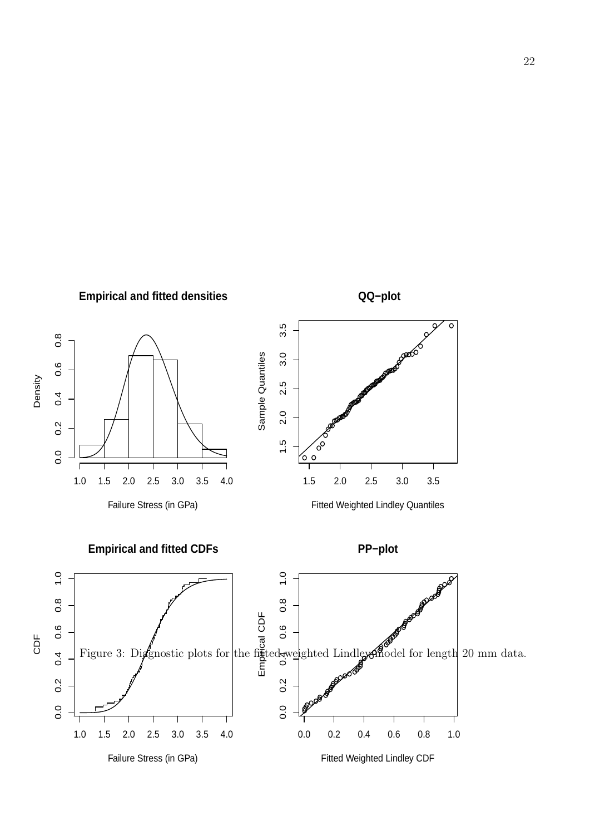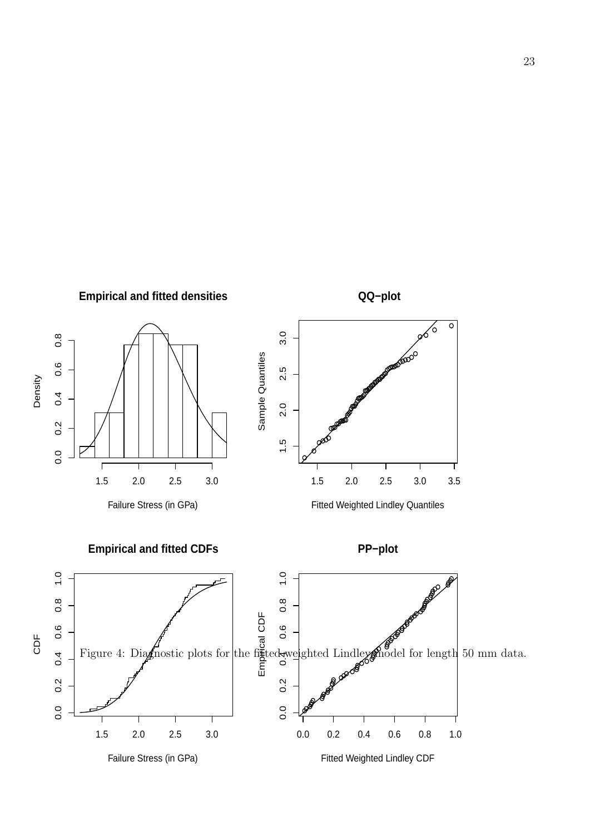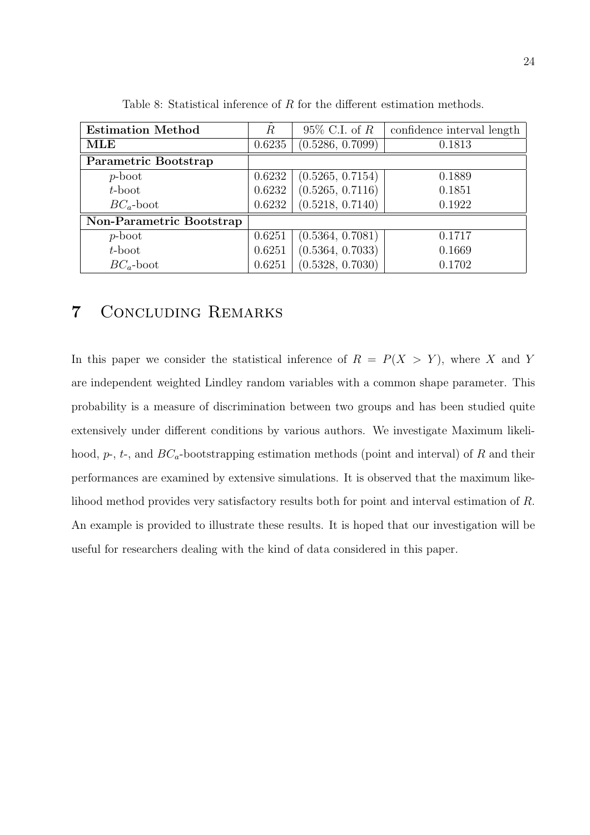| <b>Estimation Method</b> | $\ddot{R}$ | $95\%$ C.I. of R | confidence interval length |
|--------------------------|------------|------------------|----------------------------|
| $\mathbf{MLE}$           | 0.6235     | (0.5286, 0.7099) | 0.1813                     |
| Parametric Bootstrap     |            |                  |                            |
| $p\text{-boot}$          | 0.6232     | (0.5265, 0.7154) | 0.1889                     |
| $t$ -boot                | 0.6232     | (0.5265, 0.7116) | 0.1851                     |
| $BC_a$ -boot             | 0.6232     | (0.5218, 0.7140) | 0.1922                     |
| Non-Parametric Bootstrap |            |                  |                            |
| $p\text{-boot}$          | 0.6251     | (0.5364, 0.7081) | 0.1717                     |
| $t$ -boot                | 0.6251     | (0.5364, 0.7033) | 0.1669                     |
| $BC_a$ -boot             | 0.6251     | (0.5328, 0.7030) | 0.1702                     |

Table 8: Statistical inference of *R* for the different estimation methods.

## **7** Concluding Remarks

In this paper we consider the statistical inference of  $R = P(X > Y)$ , where *X* and *Y* are independent weighted Lindley random variables with a common shape parameter. This probability is a measure of discrimination between two groups and has been studied quite extensively under different conditions by various authors. We investigate Maximum likelihood, *p*-, *t*-, and *BCa*-bootstrapping estimation methods (point and interval) of *R* and their performances are examined by extensive simulations. It is observed that the maximum likelihood method provides very satisfactory results both for point and interval estimation of *R*. An example is provided to illustrate these results. It is hoped that our investigation will be useful for researchers dealing with the kind of data considered in this paper.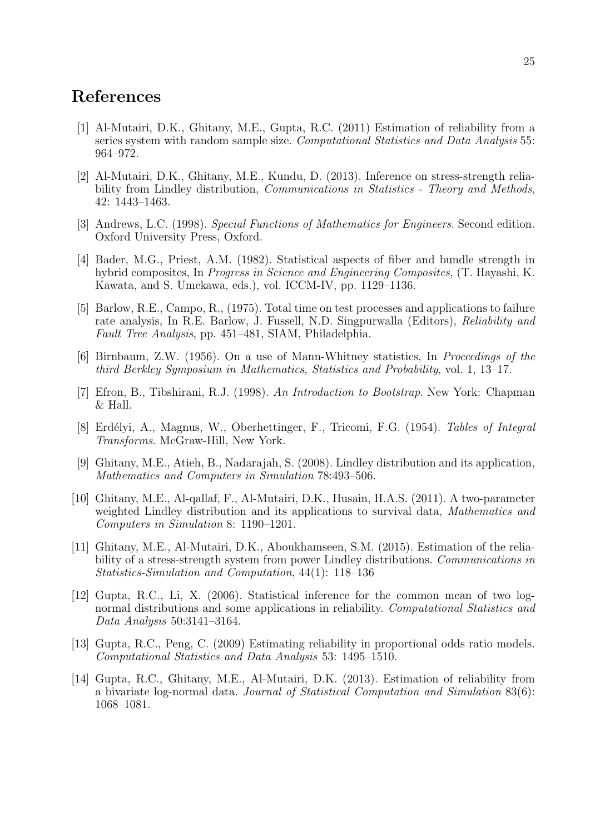### **References**

- [1] Al-Mutairi, D.K., Ghitany, M.E., Gupta, R.C. (2011) Estimation of reliability from a series system with random sample size. *Computational Statistics and Data Analysis* 55: 964–972.
- [2] Al-Mutairi, D.K., Ghitany, M.E., Kundu, D. (2013). Inference on stress-strength reliability from Lindley distribution, *Communications in Statistics - Theory and Methods*, 42: 1443–1463.
- [3] Andrews, L.C. (1998). *Special Functions of Mathematics for Engineers*. Second edition. Oxford University Press, Oxford.
- [4] Bader, M.G., Priest, A.M. (1982). Statistical aspects of fiber and bundle strength in hybrid composites, In *Progress in Science and Engineering Composites,* (T. Hayashi, K. Kawata, and S. Umekawa, eds.), vol. ICCM-IV, pp. 1129–1136.
- [5] Barlow, R.E., Campo, R., (1975). Total time on test processes and applications to failure rate analysis, In R.E. Barlow, J. Fussell, N.D. Singpurwalla (Editors), *Reliability and Fault Tree Analysis*, pp. 451–481, SIAM, Philadelphia.
- [6] Birnbaum, Z.W. (1956). On a use of Mann-Whitney statistics, In *Proceedings of the third Berkley Symposium in Mathematics, Statistics and Probability*, vol. 1, 13–17.
- [7] Efron, B., Tibshirani, R.J. (1998). *An Introduction to Bootstrap*. New York: Chapman & Hall.
- [8] Erd´elyi, A., Magnus, W., Oberhettinger, F., Tricomi, F.G. (1954). *Tables of Integral Transforms*. McGraw-Hill, New York.
- [9] Ghitany, M.E., Atieh, B., Nadarajah, S. (2008). Lindley distribution and its application, *Mathematics and Computers in Simulation* 78:493–506.
- [10] Ghitany, M.E., Al-qallaf, F., Al-Mutairi, D.K., Husain, H.A.S. (2011). A two-parameter weighted Lindley distribution and its applications to survival data, *Mathematics and Computers in Simulation* 8: 1190–1201.
- [11] Ghitany, M.E., Al-Mutairi, D.K., Aboukhamseen, S.M. (2015). Estimation of the reliability of a stress-strength system from power Lindley distributions. *Communications in Statistics-Simulation and Computation*, 44(1): 118–136
- [12] Gupta, R.C., Li, X. (2006). Statistical inference for the common mean of two lognormal distributions and some applications in reliability. *Computational Statistics and Data Analysis* 50:3141–3164.
- [13] Gupta, R.C., Peng, C. (2009) Estimating reliability in proportional odds ratio models. *Computational Statistics and Data Analysis* 53: 1495–1510.
- [14] Gupta, R.C., Ghitany, M.E., Al-Mutairi, D.K. (2013). Estimation of reliability from a bivariate log-normal data. *Journal of Statistical Computation and Simulation* 83(6): 1068–1081.